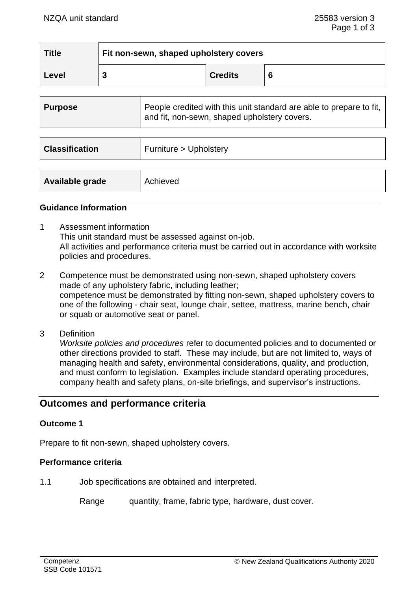| <b>Title</b> | Fit non-sewn, shaped upholstery covers |                |  |
|--------------|----------------------------------------|----------------|--|
| Level        |                                        | <b>Credits</b> |  |

| <b>Purpose</b>        | People credited with this unit standard are able to prepare to fit.<br>and fit, non-sewn, shaped upholstery covers. |
|-----------------------|---------------------------------------------------------------------------------------------------------------------|
|                       |                                                                                                                     |
| <b>Classification</b> | Furniture > Upholstery                                                                                              |
|                       |                                                                                                                     |
| Available grade       | Achieved                                                                                                            |

### **Guidance Information**

- 1 Assessment information This unit standard must be assessed against on-job. All activities and performance criteria must be carried out in accordance with worksite policies and procedures.
- 2 Competence must be demonstrated using non-sewn, shaped upholstery covers made of any upholstery fabric, including leather; competence must be demonstrated by fitting non-sewn, shaped upholstery covers to one of the following - chair seat, lounge chair, settee, mattress, marine bench, chair or squab or automotive seat or panel.
- 3 Definition

*Worksite policies and procedures* refer to documented policies and to documented or other directions provided to staff. These may include, but are not limited to, ways of managing health and safety, environmental considerations, quality, and production, and must conform to legislation. Examples include standard operating procedures, company health and safety plans, on-site briefings, and supervisor's instructions.

# **Outcomes and performance criteria**

### **Outcome 1**

Prepare to fit non-sewn, shaped upholstery covers.

#### **Performance criteria**

1.1 Job specifications are obtained and interpreted.

Range quantity, frame, fabric type, hardware, dust cover.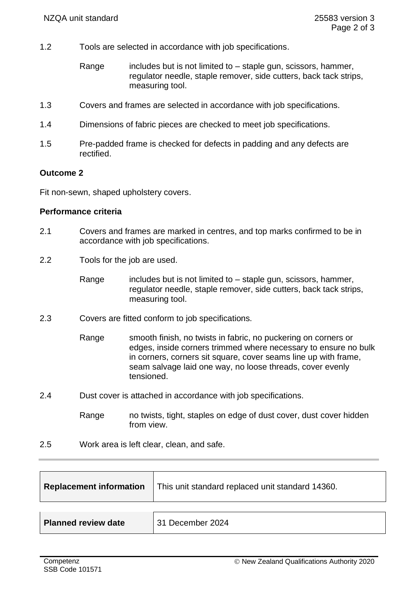- 1.2 Tools are selected in accordance with job specifications.
	- Range includes but is not limited to  $-$  staple gun, scissors, hammer, regulator needle, staple remover, side cutters, back tack strips, measuring tool.
- 1.3 Covers and frames are selected in accordance with job specifications.
- 1.4 Dimensions of fabric pieces are checked to meet job specifications.
- 1.5 Pre-padded frame is checked for defects in padding and any defects are rectified.

### **Outcome 2**

Fit non-sewn, shaped upholstery covers.

### **Performance criteria**

- 2.1 Covers and frames are marked in centres, and top marks confirmed to be in accordance with job specifications.
- 2.2 Tools for the job are used.
	- Range includes but is not limited to  $-$  staple gun, scissors, hammer, regulator needle, staple remover, side cutters, back tack strips, measuring tool.
- 2.3 Covers are fitted conform to job specifications.
	- Range smooth finish, no twists in fabric, no puckering on corners or edges, inside corners trimmed where necessary to ensure no bulk in corners, corners sit square, cover seams line up with frame, seam salvage laid one way, no loose threads, cover evenly tensioned.
- 2.4 Dust cover is attached in accordance with job specifications.
	- Range no twists, tight, staples on edge of dust cover, dust cover hidden from view.
- 2.5 Work area is left clear, clean, and safe.

|                     | <b>Replacement information</b> This unit standard replaced unit standard 14360. |
|---------------------|---------------------------------------------------------------------------------|
|                     |                                                                                 |
| Planned review date | 31 December 2024                                                                |